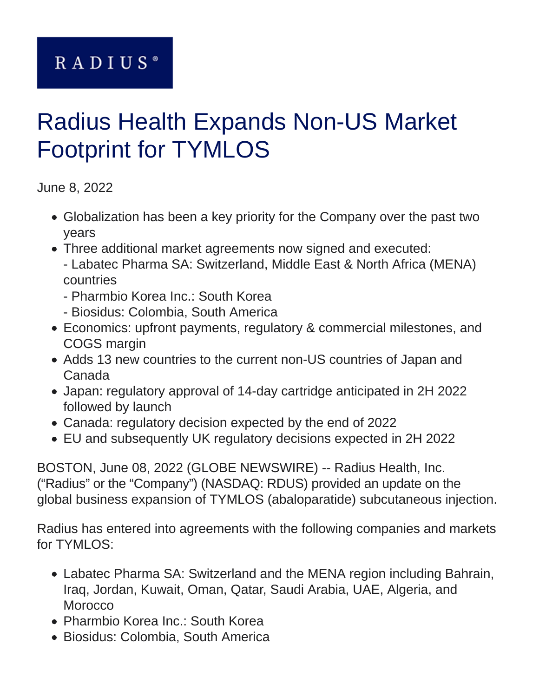## RADIUS<sup>®</sup>

# Radius Health Expands Non-US Market Footprint for TYMLOS

June 8, 2022

- Globalization has been a key priority for the Company over the past two years
- Three additional market agreements now signed and executed:
	- Labatec Pharma SA: Switzerland, Middle East & North Africa (MENA) countries
	- Pharmbio Korea Inc.: South Korea
	- Biosidus: Colombia, South America
- Economics: upfront payments, regulatory & commercial milestones, and COGS margin
- Adds 13 new countries to the current non-US countries of Japan and Canada
- Japan: regulatory approval of 14-day cartridge anticipated in 2H 2022 followed by launch
- Canada: regulatory decision expected by the end of 2022
- EU and subsequently UK regulatory decisions expected in 2H 2022

BOSTON, June 08, 2022 (GLOBE NEWSWIRE) -- Radius Health, Inc. ("Radius" or the "Company") (NASDAQ: RDUS) provided an update on the global business expansion of TYMLOS (abaloparatide) subcutaneous injection.

Radius has entered into agreements with the following companies and markets for TYMLOS:

- Labatec Pharma SA: Switzerland and the MENA region including Bahrain, Iraq, Jordan, Kuwait, Oman, Qatar, Saudi Arabia, UAE, Algeria, and **Morocco**
- Pharmbio Korea Inc.: South Korea
- Biosidus: Colombia, South America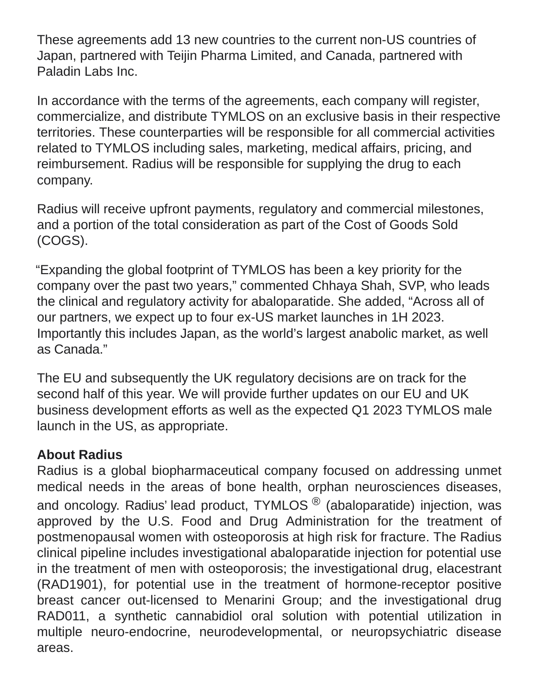These agreements add 13 new countries to the current non-US countries of Japan, partnered with Teijin Pharma Limited, and Canada, partnered with Paladin Labs Inc.

In accordance with the terms of the agreements, each company will register, commercialize, and distribute TYMLOS on an exclusive basis in their respective territories. These counterparties will be responsible for all commercial activities related to TYMLOS including sales, marketing, medical affairs, pricing, and reimbursement. Radius will be responsible for supplying the drug to each company.

Radius will receive upfront payments, regulatory and commercial milestones, and a portion of the total consideration as part of the Cost of Goods Sold (COGS).

"Expanding the global footprint of TYMLOS has been a key priority for the company over the past two years," commented Chhaya Shah, SVP, who leads the clinical and regulatory activity for abaloparatide. She added, "Across all of our partners, we expect up to four ex-US market launches in 1H 2023. Importantly this includes Japan, as the world's largest anabolic market, as well as Canada."

The EU and subsequently the UK regulatory decisions are on track for the second half of this year. We will provide further updates on our EU and UK business development efforts as well as the expected Q1 2023 TYMLOS male launch in the US, as appropriate.

### **About Radius**

Radius is a global biopharmaceutical company focused on addressing unmet medical needs in the areas of bone health, orphan neurosciences diseases, and oncology. Radius' lead product, TYMLOS  $^{\circledR}$  (abaloparatide) injection, was approved by the U.S. Food and Drug Administration for the treatment of postmenopausal women with osteoporosis at high risk for fracture. The Radius clinical pipeline includes investigational abaloparatide injection for potential use in the treatment of men with osteoporosis; the investigational drug, elacestrant (RAD1901), for potential use in the treatment of hormone-receptor positive breast cancer out-licensed to Menarini Group; and the investigational drug RAD011, a synthetic cannabidiol oral solution with potential utilization in multiple neuro-endocrine, neurodevelopmental, or neuropsychiatric disease areas.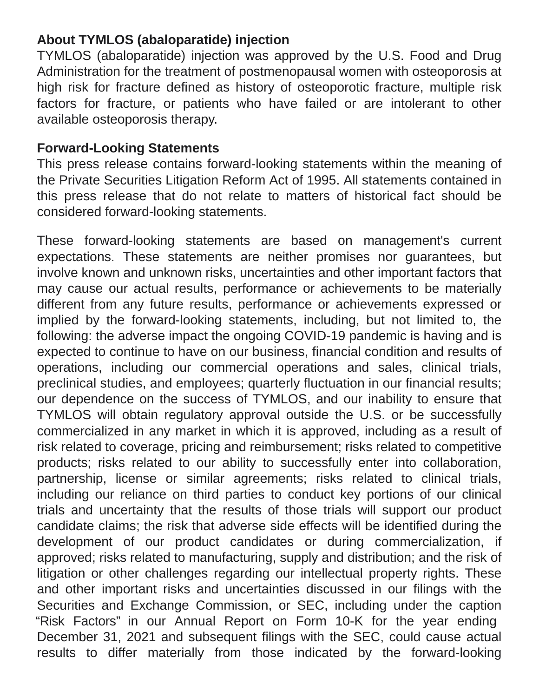#### **About TYMLOS (abaloparatide) injection**

TYMLOS (abaloparatide) injection was approved by the U.S. Food and Drug Administration for the treatment of postmenopausal women with osteoporosis at high risk for fracture defined as history of osteoporotic fracture, multiple risk factors for fracture, or patients who have failed or are intolerant to other available osteoporosis therapy.

#### **Forward-Looking Statements**

This press release contains forward-looking statements within the meaning of the Private Securities Litigation Reform Act of 1995. All statements contained in this press release that do not relate to matters of historical fact should be considered forward-looking statements.

These forward-looking statements are based on management's current expectations. These statements are neither promises nor guarantees, but involve known and unknown risks, uncertainties and other important factors that may cause our actual results, performance or achievements to be materially different from any future results, performance or achievements expressed or implied by the forward-looking statements, including, but not limited to, the following: the adverse impact the ongoing COVID-19 pandemic is having and is expected to continue to have on our business, financial condition and results of operations, including our commercial operations and sales, clinical trials, preclinical studies, and employees; quarterly fluctuation in our financial results; our dependence on the success of TYMLOS, and our inability to ensure that TYMLOS will obtain regulatory approval outside the U.S. or be successfully commercialized in any market in which it is approved, including as a result of risk related to coverage, pricing and reimbursement; risks related to competitive products; risks related to our ability to successfully enter into collaboration, partnership, license or similar agreements; risks related to clinical trials, including our reliance on third parties to conduct key portions of our clinical trials and uncertainty that the results of those trials will support our product candidate claims; the risk that adverse side effects will be identified during the development of our product candidates or during commercialization, if approved; risks related to manufacturing, supply and distribution; and the risk of litigation or other challenges regarding our intellectual property rights. These and other important risks and uncertainties discussed in our filings with the Securities and Exchange Commission, or SEC, including under the caption "Risk Factors" in our Annual Report on Form 10-K for the year ending December 31, 2021 and subsequent filings with the SEC, could cause actual results to differ materially from those indicated by the forward-looking